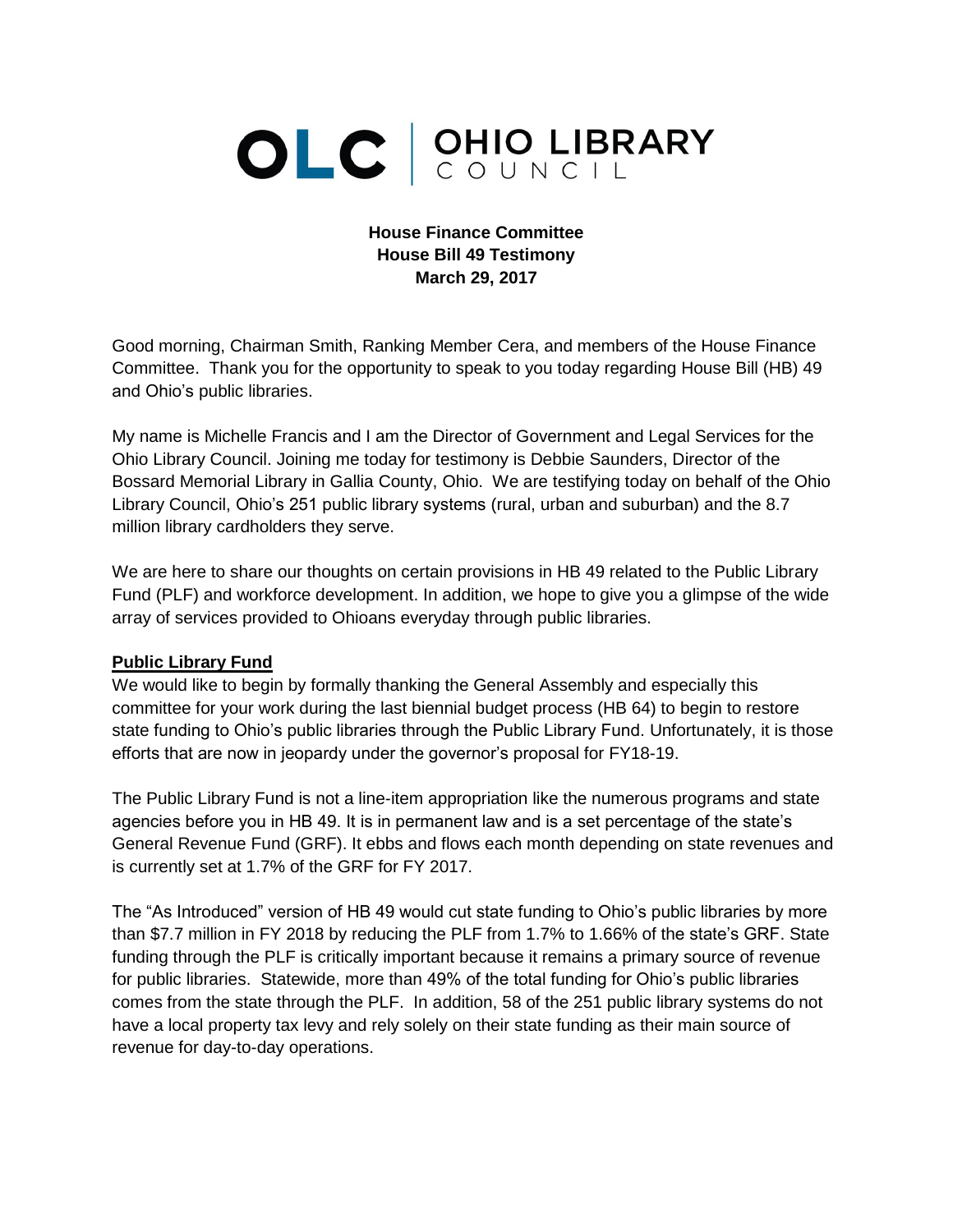# OLC CUNCIL

#### **House Finance Committee House Bill 49 Testimony March 29, 2017**

Good morning, Chairman Smith, Ranking Member Cera, and members of the House Finance Committee. Thank you for the opportunity to speak to you today regarding House Bill (HB) 49 and Ohio's public libraries.

My name is Michelle Francis and I am the Director of Government and Legal Services for the Ohio Library Council. Joining me today for testimony is Debbie Saunders, Director of the Bossard Memorial Library in Gallia County, Ohio. We are testifying today on behalf of the Ohio Library Council, Ohio's 251 public library systems (rural, urban and suburban) and the 8.7 million library cardholders they serve.

We are here to share our thoughts on certain provisions in HB 49 related to the Public Library Fund (PLF) and workforce development. In addition, we hope to give you a glimpse of the wide array of services provided to Ohioans everyday through public libraries.

#### **Public Library Fund**

We would like to begin by formally thanking the General Assembly and especially this committee for your work during the last biennial budget process (HB 64) to begin to restore state funding to Ohio's public libraries through the Public Library Fund. Unfortunately, it is those efforts that are now in jeopardy under the governor's proposal for FY18-19.

The Public Library Fund is not a line-item appropriation like the numerous programs and state agencies before you in HB 49. It is in permanent law and is a set percentage of the state's General Revenue Fund (GRF). It ebbs and flows each month depending on state revenues and is currently set at 1.7% of the GRF for FY 2017.

The "As Introduced" version of HB 49 would cut state funding to Ohio's public libraries by more than \$7.7 million in FY 2018 by reducing the PLF from 1.7% to 1.66% of the state's GRF. State funding through the PLF is critically important because it remains a primary source of revenue for public libraries. Statewide, more than 49% of the total funding for Ohio's public libraries comes from the state through the PLF. In addition, 58 of the 251 public library systems do not have a local property tax levy and rely solely on their state funding as their main source of revenue for day-to-day operations.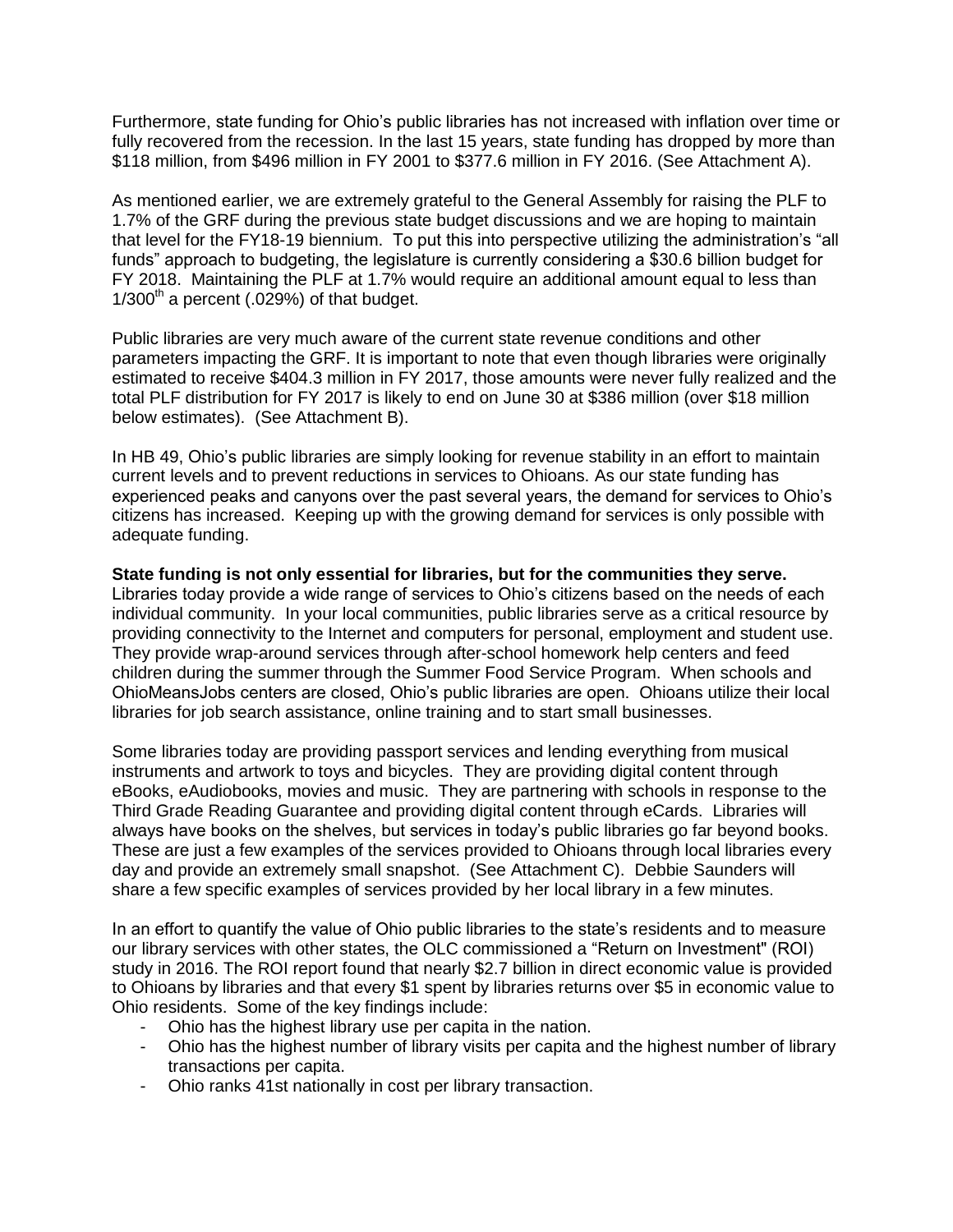Furthermore, state funding for Ohio's public libraries has not increased with inflation over time or fully recovered from the recession. In the last 15 years, state funding has dropped by more than \$118 million, from \$496 million in FY 2001 to \$377.6 million in FY 2016. (See Attachment A).

As mentioned earlier, we are extremely grateful to the General Assembly for raising the PLF to 1.7% of the GRF during the previous state budget discussions and we are hoping to maintain that level for the FY18-19 biennium. To put this into perspective utilizing the administration's "all funds" approach to budgeting, the legislature is currently considering a \$30.6 billion budget for FY 2018. Maintaining the PLF at 1.7% would require an additional amount equal to less than  $1/300<sup>th</sup>$  a percent (.029%) of that budget.

Public libraries are very much aware of the current state revenue conditions and other parameters impacting the GRF. It is important to note that even though libraries were originally estimated to receive \$404.3 million in FY 2017, those amounts were never fully realized and the total PLF distribution for FY 2017 is likely to end on June 30 at \$386 million (over \$18 million below estimates). (See Attachment B).

In HB 49, Ohio's public libraries are simply looking for revenue stability in an effort to maintain current levels and to prevent reductions in services to Ohioans. As our state funding has experienced peaks and canyons over the past several years, the demand for services to Ohio's citizens has increased. Keeping up with the growing demand for services is only possible with adequate funding.

**State funding is not only essential for libraries, but for the communities they serve.** Libraries today provide a wide range of services to Ohio's citizens based on the needs of each individual community. In your local communities, public libraries serve as a critical resource by providing connectivity to the Internet and computers for personal, employment and student use. They provide wrap-around services through after-school homework help centers and feed children during the summer through the Summer Food Service Program. When schools and OhioMeansJobs centers are closed, Ohio's public libraries are open. Ohioans utilize their local libraries for job search assistance, online training and to start small businesses.

Some libraries today are providing passport services and lending everything from musical instruments and artwork to toys and bicycles. They are providing digital content through eBooks, eAudiobooks, movies and music. They are partnering with schools in response to the Third Grade Reading Guarantee and providing digital content through eCards. Libraries will always have books on the shelves, but services in today's public libraries go far beyond books. These are just a few examples of the services provided to Ohioans through local libraries every day and provide an extremely small snapshot. (See Attachment C). Debbie Saunders will share a few specific examples of services provided by her local library in a few minutes.

In an effort to quantify the value of Ohio public libraries to the state's residents and to measure our library services with other states, the OLC commissioned a "Return on Investment" (ROI) study in 2016. The ROI report found that nearly \$2.7 billion in direct economic value is provided to Ohioans by libraries and that every \$1 spent by libraries returns over \$5 in economic value to Ohio residents. Some of the key findings include:

- Ohio has the highest library use per capita in the nation.
- Ohio has the highest number of library visits per capita and the highest number of library transactions per capita.
- Ohio ranks 41st nationally in cost per library transaction.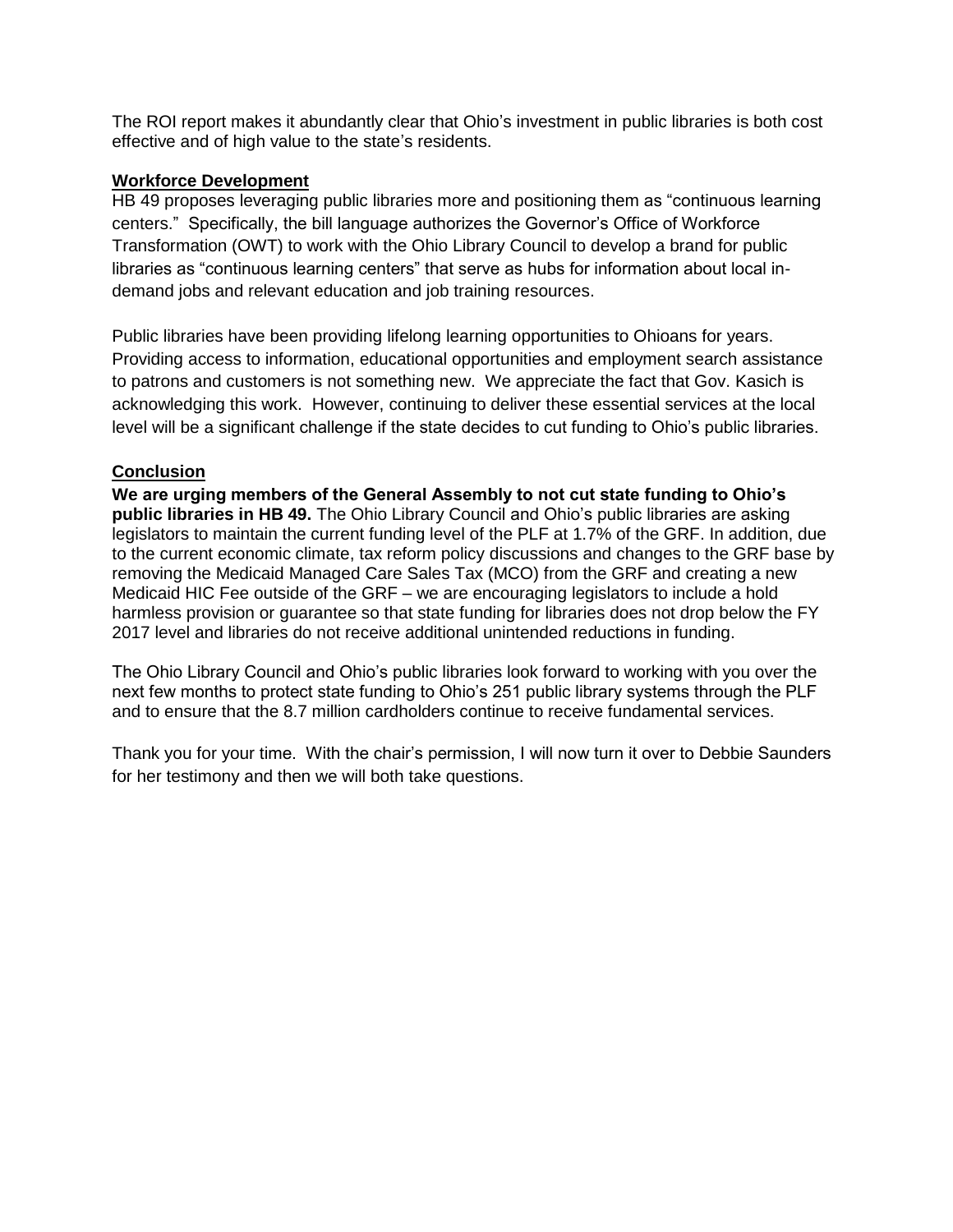The ROI report makes it abundantly clear that Ohio's investment in public libraries is both cost effective and of high value to the state's residents.

#### **Workforce Development**

HB 49 proposes leveraging public libraries more and positioning them as "continuous learning centers." Specifically, the bill language authorizes the Governor's Office of Workforce Transformation (OWT) to work with the Ohio Library Council to develop a brand for public libraries as "continuous learning centers" that serve as hubs for information about local indemand jobs and relevant education and job training resources.

Public libraries have been providing lifelong learning opportunities to Ohioans for years. Providing access to information, educational opportunities and employment search assistance to patrons and customers is not something new. We appreciate the fact that Gov. Kasich is acknowledging this work. However, continuing to deliver these essential services at the local level will be a significant challenge if the state decides to cut funding to Ohio's public libraries.

#### **Conclusion**

**We are urging members of the General Assembly to not cut state funding to Ohio's public libraries in HB 49.** The Ohio Library Council and Ohio's public libraries are asking legislators to maintain the current funding level of the PLF at 1.7% of the GRF. In addition, due to the current economic climate, tax reform policy discussions and changes to the GRF base by removing the Medicaid Managed Care Sales Tax (MCO) from the GRF and creating a new Medicaid HIC Fee outside of the GRF – we are encouraging legislators to include a hold harmless provision or guarantee so that state funding for libraries does not drop below the FY 2017 level and libraries do not receive additional unintended reductions in funding.

The Ohio Library Council and Ohio's public libraries look forward to working with you over the next few months to protect state funding to Ohio's 251 public library systems through the PLF and to ensure that the 8.7 million cardholders continue to receive fundamental services.

Thank you for your time. With the chair's permission, I will now turn it over to Debbie Saunders for her testimony and then we will both take questions.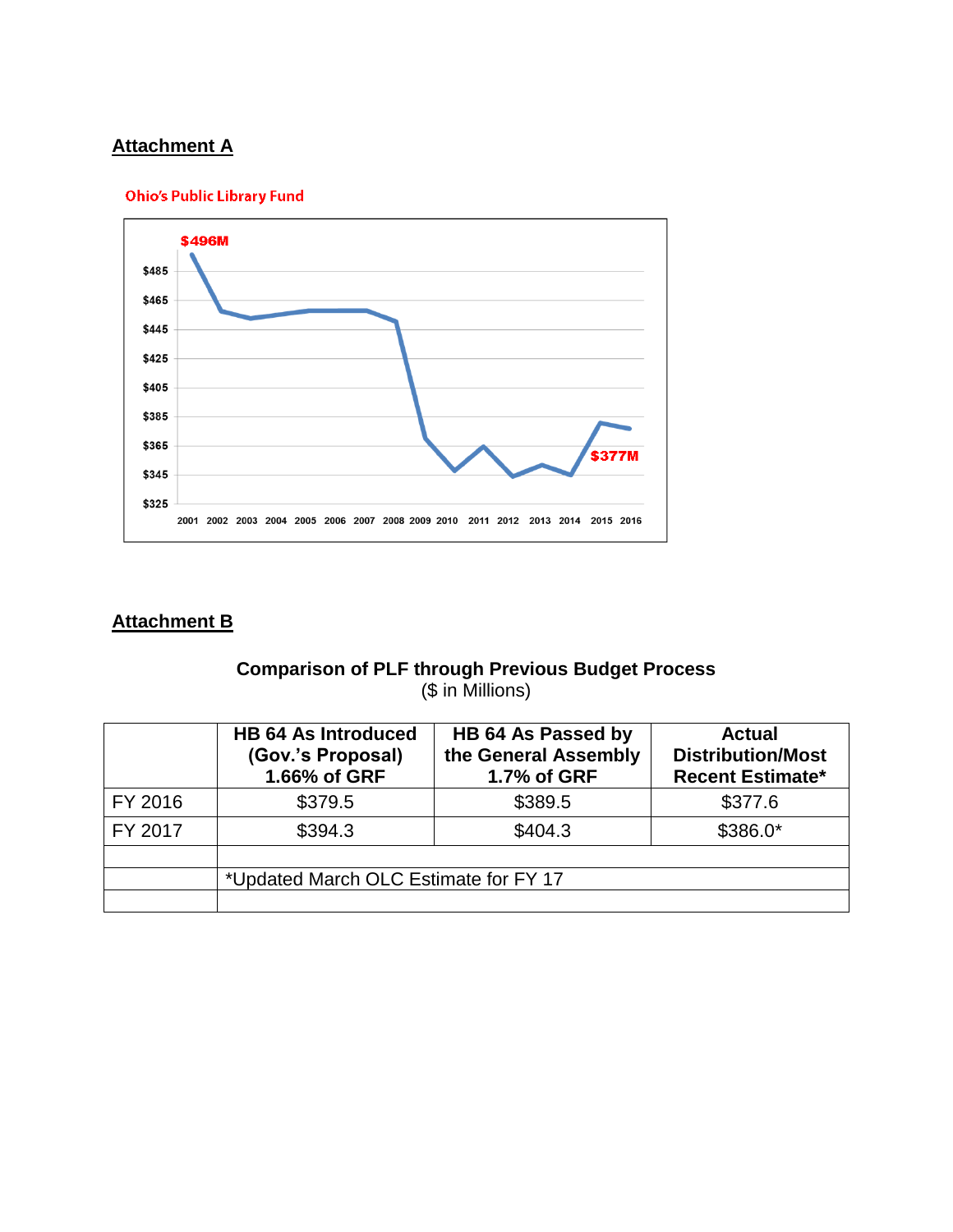## **Attachment A**





# **Attachment B**

### **Comparison of PLF through Previous Budget Process** (\$ in Millions)

|         | <b>HB 64 As Introduced</b><br>(Gov.'s Proposal)<br>1.66% of GRF | HB 64 As Passed by<br>the General Assembly<br>1.7% of GRF | <b>Actual</b><br><b>Distribution/Most</b><br><b>Recent Estimate*</b> |
|---------|-----------------------------------------------------------------|-----------------------------------------------------------|----------------------------------------------------------------------|
| FY 2016 | \$379.5                                                         | \$389.5                                                   | \$377.6                                                              |
| FY 2017 | \$394.3                                                         | \$404.3                                                   | $$386.0*$                                                            |
|         |                                                                 |                                                           |                                                                      |
|         | *Updated March OLC Estimate for FY 17                           |                                                           |                                                                      |
|         |                                                                 |                                                           |                                                                      |